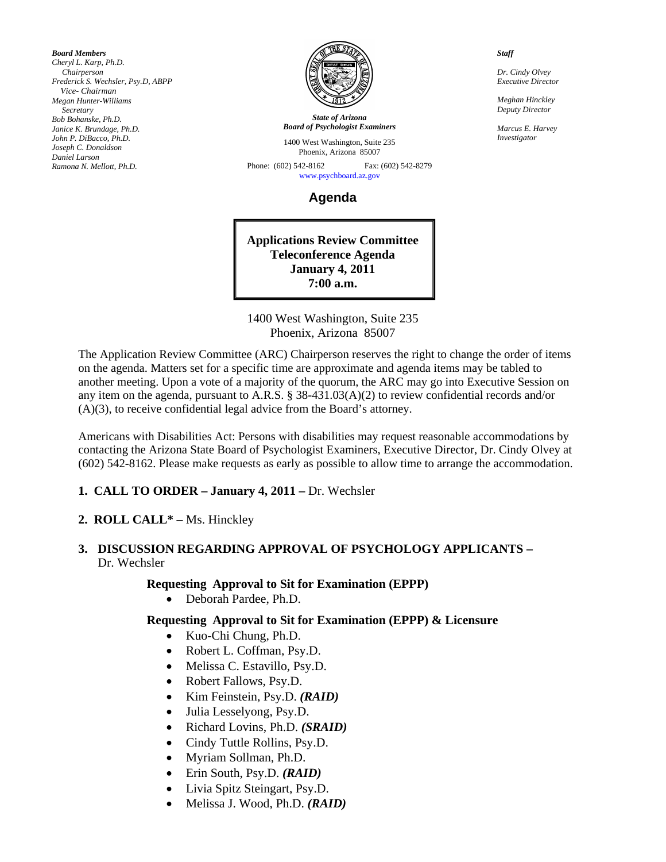*Board Members Cheryl L. Karp, Ph.D. Chairperson Frederick S. Wechsler, Psy.D, ABPP Vice- Chairman Megan Hunter-Williams Secretary Bob Bohanske, Ph.D. Janice K. Brundage, Ph.D. John P. DiBacco, Ph.D. Joseph C. Donaldson Daniel Larson Ramona N. Mellott, Ph.D.* 



*State of Arizona Board of Psychologist Examiners*

1400 West Washington, Suite 235 Phoenix, Arizona 85007

Phone: (602) 542-8162 Fax: (602) 542-8279 [www.psychboard.az.gov](http://www.psychboard.az.gov/) 

**Agenda** 

**Applications Review Committee Teleconference Agenda January 4, 2011 7:00 a.m.** 

1400 West Washington, Suite 235 Phoenix, Arizona 85007

The Application Review Committee (ARC) Chairperson reserves the right to change the order of items on the agenda. Matters set for a specific time are approximate and agenda items may be tabled to another meeting. Upon a vote of a majority of the quorum, the ARC may go into Executive Session on any item on the agenda, pursuant to A.R.S. § 38-431.03(A)(2) to review confidential records and/or (A)(3), to receive confidential legal advice from the Board's attorney.

Americans with Disabilities Act: Persons with disabilities may request reasonable accommodations by contacting the Arizona State Board of Psychologist Examiners, Executive Director, Dr. Cindy Olvey at (602) 542-8162. Please make requests as early as possible to allow time to arrange the accommodation.

## **1. CALL TO ORDER – January 4, 2011 – Dr. Wechsler**

### **2. ROLL CALL\* –** Ms. Hinckley

## **3. DISCUSSION REGARDING APPROVAL OF PSYCHOLOGY APPLICANTS –**  Dr. Wechsler

#### **Requesting Approval to Sit for Examination (EPPP)**

Deborah Pardee, Ph.D.

### **Requesting Approval to Sit for Examination (EPPP) & Licensure**

- Kuo-Chi Chung, Ph.D.
- Robert L. Coffman, Psy.D.
- Melissa C. Estavillo, Psy.D.
- Robert Fallows, Psy.D.
- Kim Feinstein, Psy.D. *(RAID)*
- Julia Lesselyong, Psy.D.
- Richard Lovins, Ph.D. *(SRAID)*
- Cindy Tuttle Rollins, Psy.D.
- Myriam Sollman, Ph.D.
- Erin South, Psy.D. *(RAID)*
- Livia Spitz Steingart, Psy.D.
- Melissa J. Wood, Ph.D. *(RAID)*

*Staff* 

*Dr. Cindy Olvey Executive Director* 

*Meghan Hinckley Deputy Director* 

*Marcus E. Harvey Investigator*